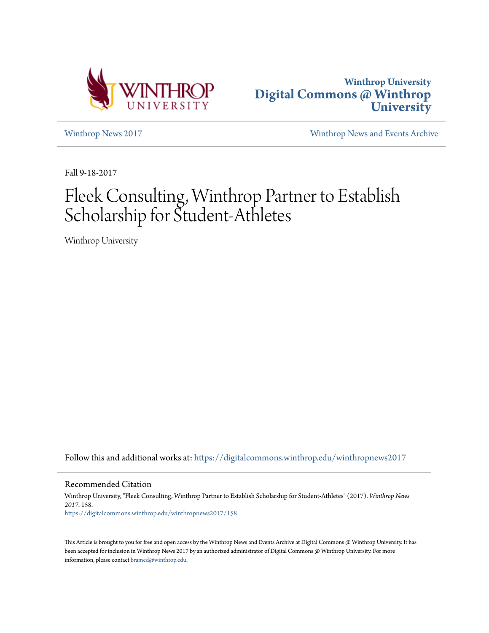



[Winthrop News 2017](https://digitalcommons.winthrop.edu/winthropnews2017?utm_source=digitalcommons.winthrop.edu%2Fwinthropnews2017%2F158&utm_medium=PDF&utm_campaign=PDFCoverPages) [Winthrop News and Events Archive](https://digitalcommons.winthrop.edu/winthropnewsarchives?utm_source=digitalcommons.winthrop.edu%2Fwinthropnews2017%2F158&utm_medium=PDF&utm_campaign=PDFCoverPages)

Fall 9-18-2017

## Fleek Consulting, Winthrop Partner to Establish Scholarship for Student-Athletes

Winthrop University

Follow this and additional works at: [https://digitalcommons.winthrop.edu/winthropnews2017](https://digitalcommons.winthrop.edu/winthropnews2017?utm_source=digitalcommons.winthrop.edu%2Fwinthropnews2017%2F158&utm_medium=PDF&utm_campaign=PDFCoverPages)

Recommended Citation

Winthrop University, "Fleek Consulting, Winthrop Partner to Establish Scholarship for Student-Athletes" (2017). *Winthrop News 2017*. 158. [https://digitalcommons.winthrop.edu/winthropnews2017/158](https://digitalcommons.winthrop.edu/winthropnews2017/158?utm_source=digitalcommons.winthrop.edu%2Fwinthropnews2017%2F158&utm_medium=PDF&utm_campaign=PDFCoverPages)

This Article is brought to you for free and open access by the Winthrop News and Events Archive at Digital Commons @ Winthrop University. It has been accepted for inclusion in Winthrop News 2017 by an authorized administrator of Digital Commons @ Winthrop University. For more information, please contact [bramed@winthrop.edu](mailto:bramed@winthrop.edu).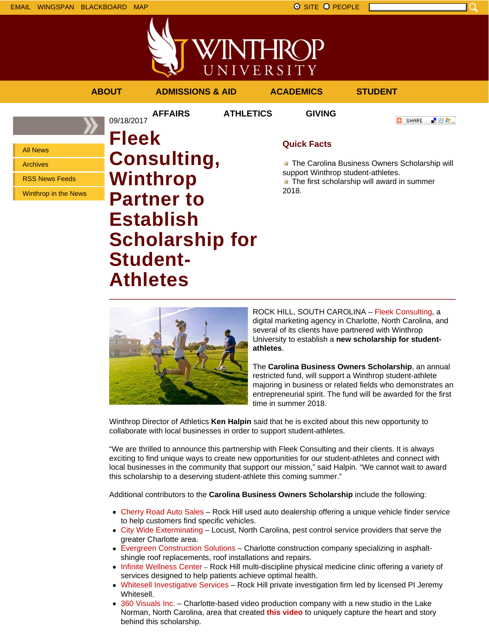



|                             | <b>ABOUT</b>                       | <b>ADMISSIONS &amp; AID</b> |                  | <b>ACADEMICS</b>                                                                    | <b>STUDENT</b>                             |  |  |
|-----------------------------|------------------------------------|-----------------------------|------------------|-------------------------------------------------------------------------------------|--------------------------------------------|--|--|
|                             | 09/18/2017                         | <b>AFFAIRS</b>              | <b>ATHLETICS</b> | <b>GIVING</b>                                                                       | - 82 年。<br>o<br>SHARE                      |  |  |
| <b>All News</b>             | <b>Fleek</b><br><b>Consulting,</b> |                             |                  | <b>Quick Facts</b>                                                                  |                                            |  |  |
| <b>Archives</b>             |                                    |                             |                  | The Carolina Business Owners Scholarship will<br>support Winthrop student-athletes. |                                            |  |  |
| <b>RSS News Feeds</b>       |                                    | <b>Winthrop</b>             |                  |                                                                                     | The first scholarship will award in summer |  |  |
| <b>Winthrop in the News</b> |                                    | <b>Partner to</b>           |                  | 2018.                                                                               |                                            |  |  |
|                             |                                    | <b>Establish</b>            |                  |                                                                                     |                                            |  |  |
|                             |                                    | <b>Scholarship for</b>      |                  |                                                                                     |                                            |  |  |
|                             |                                    | <b>Student-</b>             |                  |                                                                                     |                                            |  |  |
|                             |                                    | Athletes                    |                  |                                                                                     |                                            |  |  |



ROCK HILL, SOUTH CAROLINA – Fleek Consulting, a digital marketing agency in Charlotte, North Carolina, and several of its clients have partnered with Winthrop University to establish a **new scholarship for studentathletes**.

The **Carolina Business Owners Scholarship**, an annual restricted fund, will support a Winthrop student-athlete majoring in business or related fields who demonstrates an entrepreneurial spirit. The fund will be awarded for the first time in summer 2018.

Winthrop Director of Athletics **Ken Halpin** said that he is excited about this new opportunity to collaborate with local businesses in order to support student-athletes.

"We are thrilled to announce this partnership with Fleek Consulting and their clients. It is always exciting to find unique ways to create new opportunities for our student-athletes and connect with local businesses in the community that support our mission," said Halpin. "We cannot wait to award this scholarship to a deserving student-athlete this coming summer."

Additional contributors to the **Carolina Business Owners Scholarship** include the following:

- Cherry Road Auto Sales Rock Hill used auto dealership offering a unique vehicle finder service to help customers find specific vehicles.
- City Wide Exterminating Locust, North Carolina, pest control service providers that serve the greater Charlotte area.
- Evergreen Construction Solutions Charlotte construction company specializing in asphaltshingle roof replacements, roof installations and repairs.
- Infinite Wellness Center Rock Hill multi-discipline physical medicine clinic offering a variety of services designed to help patients achieve optimal health.
- Whitesell Investigative Services Rock Hill private investigation firm led by licensed PI Jeremy Whitesell.
- 360 Visuals Inc. Charlotte-based video production company with a new studio in the Lake Norman, North Carolina, area that created **this video** to uniquely capture the heart and story behind this scholarship.